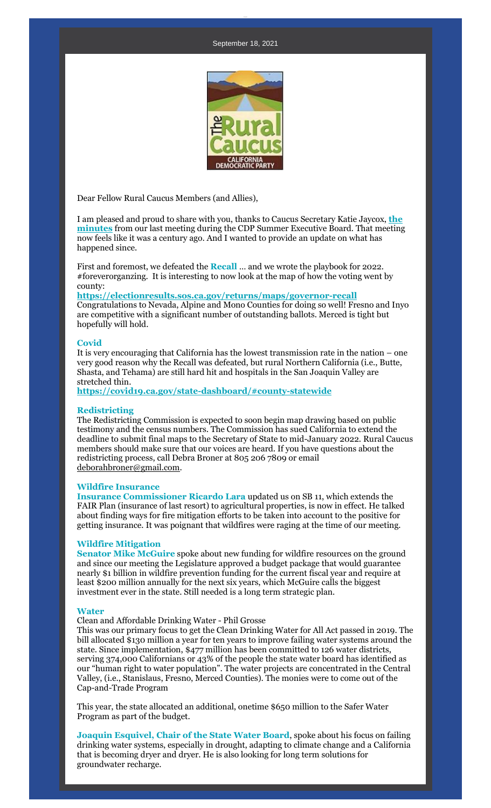

Dear Fellow Rural Caucus Members (and Allies),

I am pleased and proud to share with you, thanks to Caucus Secretary Katie Jaycox, **[the](https://r20.rs6.net/tn.jsp?f=001RJVLRBX6SWaQoI7vyjxvauUmzYuybzjDrD7Qa7YNMVPFXTpH6v5nKvBPFXdRo4XbMV6X9fWrQf-B_t-T6ls3-GSbVPeTc7Hg3pH5NuWI6zR-g37mkYIlsjObggpVBw15I2_lvetDcu2A-oa9dlt_gr6cbdUqg65MTyyjO1jX7KH53bg-rmnfSZ6sr_3NNWHYhACLRgSVnbGx5bpbz3aqvzv95tVzKWfrxq9WVmkDidA=&c=CucrxubBzgX_t5GAnkNDLbf3gGTydOQYBjQ_-uy6_caK0YVSZQw2zA==&ch=g0zwR5TlMwYOJjdQrTocOx1i9PB_rkcHn4n2fdwtJC-owByiTfonEQ==)  [minutes](https://r20.rs6.net/tn.jsp?f=001RJVLRBX6SWaQoI7vyjxvauUmzYuybzjDrD7Qa7YNMVPFXTpH6v5nKvBPFXdRo4XbMV6X9fWrQf-B_t-T6ls3-GSbVPeTc7Hg3pH5NuWI6zR-g37mkYIlsjObggpVBw15I2_lvetDcu2A-oa9dlt_gr6cbdUqg65MTyyjO1jX7KH53bg-rmnfSZ6sr_3NNWHYhACLRgSVnbGx5bpbz3aqvzv95tVzKWfrxq9WVmkDidA=&c=CucrxubBzgX_t5GAnkNDLbf3gGTydOQYBjQ_-uy6_caK0YVSZQw2zA==&ch=g0zwR5TlMwYOJjdQrTocOx1i9PB_rkcHn4n2fdwtJC-owByiTfonEQ==)** from our last meeting during the CDP Summer Executive Board. That meeting now feels like it was a century ago. And I wanted to provide an update on what has happened since.

First and foremost, we defeated the **Recall** … and we wrote the playbook for 2022. #foreverorganzing. It is interesting to now look at the map of how the voting went by county:

**[https://electionresults.sos.ca.gov/returns/maps/governor-recall](https://r20.rs6.net/tn.jsp?f=001RJVLRBX6SWaQoI7vyjxvauUmzYuybzjDrD7Qa7YNMVPFXTpH6v5nKvBPFXdRo4Xb2fRCQSQY8xL-WbN2kS9rYiXam0ARoNnNh0TDZC2idqZ9DZTeHFqsCvfE9R4nwolHJiZiZK6kAMn7lo8sPAqE1_RAKsBa-8vRVt8FVO7I4v0mTWp0NL4rGcm9mPJWlw-jzadjzUeKXv4=&c=CucrxubBzgX_t5GAnkNDLbf3gGTydOQYBjQ_-uy6_caK0YVSZQw2zA==&ch=g0zwR5TlMwYOJjdQrTocOx1i9PB_rkcHn4n2fdwtJC-owByiTfonEQ==)** Congratulations to Nevada, Alpine and Mono Counties for doing so well! Fresno and Inyo are competitive with a significant number of outstanding ballots. Merced is tight but hopefully will hold.

## **Covid**

It is very encouraging that California has the lowest transmission rate in the nation – one very good reason why the Recall was defeated, but rural Northern California (i.e., Butte, Shasta, and Tehama) are still hard hit and hospitals in the San Joaquin Valley are stretched thin.

**[https://covid19.ca.gov/state-dashboard/#county-statewide](https://r20.rs6.net/tn.jsp?f=001RJVLRBX6SWaQoI7vyjxvauUmzYuybzjDrD7Qa7YNMVPFXTpH6v5nKvBPFXdRo4XbUjpKRQyRSX1by6Ubfe_HklMfXS4VkYhV0KS5Ig2Z2tPmrjsqm9nhfuTp59bIM1DmsZLPH1GD3RsxgUUridTmh4yi8-JyRZmKGUKd3JRJw-T4V-u2mwIOLWbG5SjNs2Q8&c=CucrxubBzgX_t5GAnkNDLbf3gGTydOQYBjQ_-uy6_caK0YVSZQw2zA==&ch=g0zwR5TlMwYOJjdQrTocOx1i9PB_rkcHn4n2fdwtJC-owByiTfonEQ==)**

# **Redistricting**

The Redistricting Commission is expected to soon begin map drawing based on public testimony and the census numbers. The Commission has sued California to extend the deadline to submit final maps to the Secretary of State to mid-January 2022. Rural Caucus members should make sure that our voices are heard. If you have questions about the redistricting process, call Debra Broner at 805 206 7809 or email [deborahbroner@gmail.com.](mailto:deborahbroner@gmail.com)

### **Wildfire Insurance**

**Insurance Commissioner Ricardo Lara** updated us on SB 11, which extends the FAIR Plan (insurance of last resort) to agricultural properties, is now in effect. He talked about finding ways for fire mitigation efforts to be taken into account to the positive for getting insurance. It was poignant that wildfires were raging at the time of our meeting.

### **Wildfire Mitigation**

**Senator Mike McGuire** spoke about new funding for wildfire resources on the ground and since our meeting the Legislature approved a budget package that would guarantee nearly \$1 billion in wildfire prevention funding for the current fiscal year and require at least \$200 million annually for the next six years, which McGuire calls the biggest investment ever in the state. Still needed is a long term strategic plan.

## **Water**

Clean and Affordable Drinking Water - Phil Grosse

This was our primary focus to get the Clean Drinking Water for All Act passed in 2019. The bill allocated \$130 million a year for ten years to improve failing water systems around the state. Since implementation, \$477 million has been committed to 126 water districts, serving 374,000 Californians or 43% of the people the state water board has identified as our "human right to water population". The water projects are concentrated in the Central Valley, (i.e., Stanislaus, Fresno, Merced Counties). The monies were to come out of the Cap-and-Trade Program

This year, the state allocated an additional, onetime \$650 million to the Safer Water Program as part of the budget.

**Joaquin Esquivel, Chair of the State Water Board**, spoke about his focus on failing drinking water systems, especially in drought, adapting to climate change and a California that is becoming dryer and dryer. He is also looking for long term solutions for groundwater recharge.